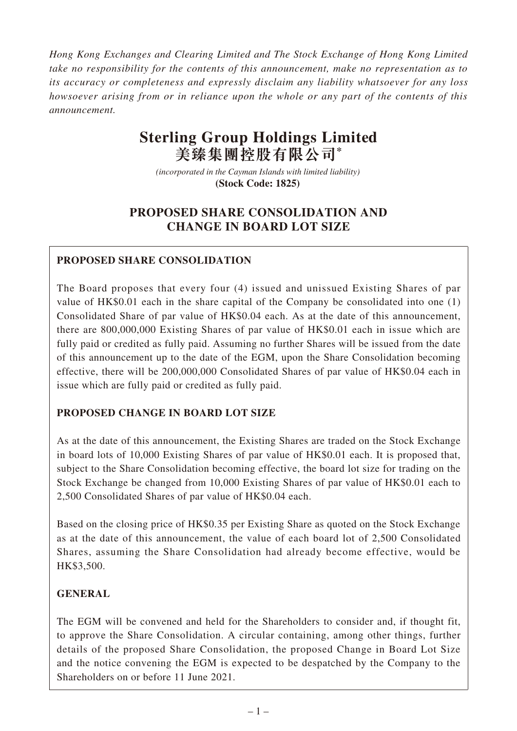*Hong Kong Exchanges and Clearing Limited and The Stock Exchange of Hong Kong Limited take no responsibility for the contents of this announcement, make no representation as to its accuracy or completeness and expressly disclaim any liability whatsoever for any loss howsoever arising from or in reliance upon the whole or any part of the contents of this announcement.*

# **Sterling Group Holdings Limited 美臻集團控股有限公司\***

*(incorporated in the Cayman Islands with limited liability)*  **(Stock Code: 1825)** 

# **PROPOSED SHARE CONSOLIDATION AND CHANGE IN BOARD LOT SIZE**

# **PROPOSED SHARE CONSOLIDATION**

The Board proposes that every four (4) issued and unissued Existing Shares of par value of HK\$0.01 each in the share capital of the Company be consolidated into one (1) Consolidated Share of par value of HK\$0.04 each. As at the date of this announcement, there are 800,000,000 Existing Shares of par value of HK\$0.01 each in issue which are fully paid or credited as fully paid. Assuming no further Shares will be issued from the date of this announcement up to the date of the EGM, upon the Share Consolidation becoming effective, there will be 200,000,000 Consolidated Shares of par value of HK\$0.04 each in issue which are fully paid or credited as fully paid.

## **PROPOSED CHANGE IN BOARD LOT SIZE**

As at the date of this announcement, the Existing Shares are traded on the Stock Exchange in board lots of 10,000 Existing Shares of par value of HK\$0.01 each. It is proposed that, subject to the Share Consolidation becoming effective, the board lot size for trading on the Stock Exchange be changed from 10,000 Existing Shares of par value of HK\$0.01 each to 2,500 Consolidated Shares of par value of HK\$0.04 each.

Based on the closing price of HK\$0.35 per Existing Share as quoted on the Stock Exchange as at the date of this announcement, the value of each board lot of 2,500 Consolidated Shares, assuming the Share Consolidation had already become effective, would be HK\$3,500.

## **GENERAL**

The EGM will be convened and held for the Shareholders to consider and, if thought fit, to approve the Share Consolidation. A circular containing, among other things, further details of the proposed Share Consolidation, the proposed Change in Board Lot Size and the notice convening the EGM is expected to be despatched by the Company to the Shareholders on or before 11 June 2021.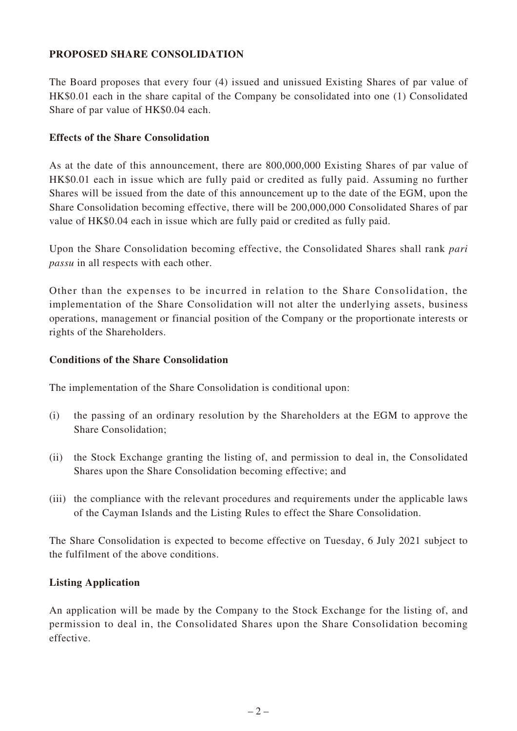#### **PROPOSED SHARE CONSOLIDATION**

The Board proposes that every four (4) issued and unissued Existing Shares of par value of HK\$0.01 each in the share capital of the Company be consolidated into one (1) Consolidated Share of par value of HK\$0.04 each.

#### **Effects of the Share Consolidation**

As at the date of this announcement, there are 800,000,000 Existing Shares of par value of HK\$0.01 each in issue which are fully paid or credited as fully paid. Assuming no further Shares will be issued from the date of this announcement up to the date of the EGM, upon the Share Consolidation becoming effective, there will be 200,000,000 Consolidated Shares of par value of HK\$0.04 each in issue which are fully paid or credited as fully paid.

Upon the Share Consolidation becoming effective, the Consolidated Shares shall rank *pari passu* in all respects with each other.

Other than the expenses to be incurred in relation to the Share Consolidation, the implementation of the Share Consolidation will not alter the underlying assets, business operations, management or financial position of the Company or the proportionate interests or rights of the Shareholders.

#### **Conditions of the Share Consolidation**

The implementation of the Share Consolidation is conditional upon:

- (i) the passing of an ordinary resolution by the Shareholders at the EGM to approve the Share Consolidation;
- (ii) the Stock Exchange granting the listing of, and permission to deal in, the Consolidated Shares upon the Share Consolidation becoming effective; and
- (iii) the compliance with the relevant procedures and requirements under the applicable laws of the Cayman Islands and the Listing Rules to effect the Share Consolidation.

The Share Consolidation is expected to become effective on Tuesday, 6 July 2021 subject to the fulfilment of the above conditions.

#### **Listing Application**

An application will be made by the Company to the Stock Exchange for the listing of, and permission to deal in, the Consolidated Shares upon the Share Consolidation becoming effective.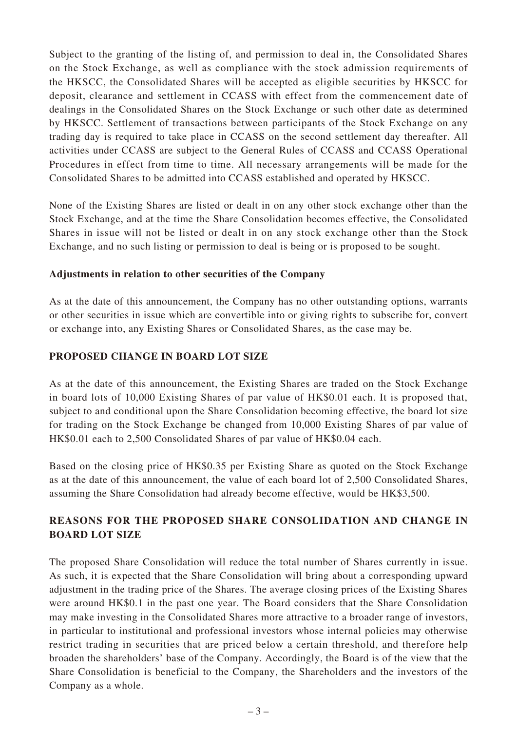Subject to the granting of the listing of, and permission to deal in, the Consolidated Shares on the Stock Exchange, as well as compliance with the stock admission requirements of the HKSCC, the Consolidated Shares will be accepted as eligible securities by HKSCC for deposit, clearance and settlement in CCASS with effect from the commencement date of dealings in the Consolidated Shares on the Stock Exchange or such other date as determined by HKSCC. Settlement of transactions between participants of the Stock Exchange on any trading day is required to take place in CCASS on the second settlement day thereafter. All activities under CCASS are subject to the General Rules of CCASS and CCASS Operational Procedures in effect from time to time. All necessary arrangements will be made for the Consolidated Shares to be admitted into CCASS established and operated by HKSCC.

None of the Existing Shares are listed or dealt in on any other stock exchange other than the Stock Exchange, and at the time the Share Consolidation becomes effective, the Consolidated Shares in issue will not be listed or dealt in on any stock exchange other than the Stock Exchange, and no such listing or permission to deal is being or is proposed to be sought.

#### **Adjustments in relation to other securities of the Company**

As at the date of this announcement, the Company has no other outstanding options, warrants or other securities in issue which are convertible into or giving rights to subscribe for, convert or exchange into, any Existing Shares or Consolidated Shares, as the case may be.

#### **PROPOSED CHANGE IN BOARD LOT SIZE**

As at the date of this announcement, the Existing Shares are traded on the Stock Exchange in board lots of 10,000 Existing Shares of par value of HK\$0.01 each. It is proposed that, subject to and conditional upon the Share Consolidation becoming effective, the board lot size for trading on the Stock Exchange be changed from 10,000 Existing Shares of par value of HK\$0.01 each to 2,500 Consolidated Shares of par value of HK\$0.04 each.

Based on the closing price of HK\$0.35 per Existing Share as quoted on the Stock Exchange as at the date of this announcement, the value of each board lot of 2,500 Consolidated Shares, assuming the Share Consolidation had already become effective, would be HK\$3,500.

## **REASONS FOR THE PROPOSED SHARE CONSOLIDATION AND CHANGE IN BOARD LOT SIZE**

The proposed Share Consolidation will reduce the total number of Shares currently in issue. As such, it is expected that the Share Consolidation will bring about a corresponding upward adjustment in the trading price of the Shares. The average closing prices of the Existing Shares were around HK\$0.1 in the past one year. The Board considers that the Share Consolidation may make investing in the Consolidated Shares more attractive to a broader range of investors, in particular to institutional and professional investors whose internal policies may otherwise restrict trading in securities that are priced below a certain threshold, and therefore help broaden the shareholders' base of the Company. Accordingly, the Board is of the view that the Share Consolidation is beneficial to the Company, the Shareholders and the investors of the Company as a whole.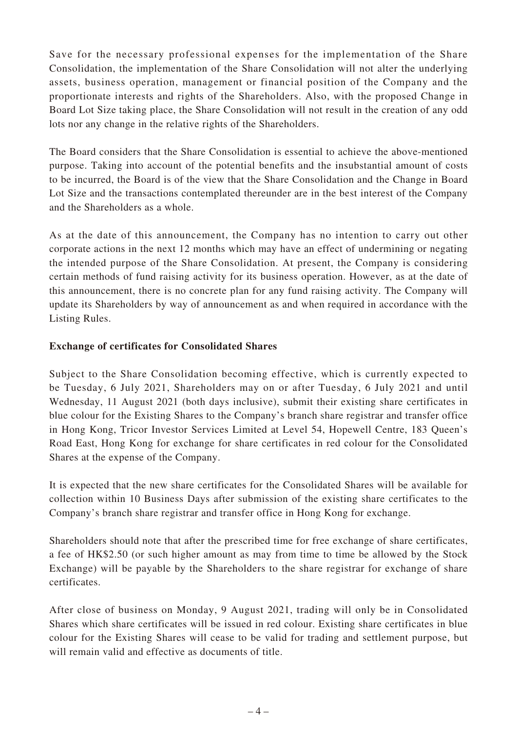Save for the necessary professional expenses for the implementation of the Share Consolidation, the implementation of the Share Consolidation will not alter the underlying assets, business operation, management or financial position of the Company and the proportionate interests and rights of the Shareholders. Also, with the proposed Change in Board Lot Size taking place, the Share Consolidation will not result in the creation of any odd lots nor any change in the relative rights of the Shareholders.

The Board considers that the Share Consolidation is essential to achieve the above-mentioned purpose. Taking into account of the potential benefits and the insubstantial amount of costs to be incurred, the Board is of the view that the Share Consolidation and the Change in Board Lot Size and the transactions contemplated thereunder are in the best interest of the Company and the Shareholders as a whole.

As at the date of this announcement, the Company has no intention to carry out other corporate actions in the next 12 months which may have an effect of undermining or negating the intended purpose of the Share Consolidation. At present, the Company is considering certain methods of fund raising activity for its business operation. However, as at the date of this announcement, there is no concrete plan for any fund raising activity. The Company will update its Shareholders by way of announcement as and when required in accordance with the Listing Rules.

#### **Exchange of certificates for Consolidated Shares**

Subject to the Share Consolidation becoming effective, which is currently expected to be Tuesday, 6 July 2021, Shareholders may on or after Tuesday, 6 July 2021 and until Wednesday, 11 August 2021 (both days inclusive), submit their existing share certificates in blue colour for the Existing Shares to the Company's branch share registrar and transfer office in Hong Kong, Tricor Investor Services Limited at Level 54, Hopewell Centre, 183 Queen's Road East, Hong Kong for exchange for share certificates in red colour for the Consolidated Shares at the expense of the Company.

It is expected that the new share certificates for the Consolidated Shares will be available for collection within 10 Business Days after submission of the existing share certificates to the Company's branch share registrar and transfer office in Hong Kong for exchange.

Shareholders should note that after the prescribed time for free exchange of share certificates, a fee of HK\$2.50 (or such higher amount as may from time to time be allowed by the Stock Exchange) will be payable by the Shareholders to the share registrar for exchange of share certificates.

After close of business on Monday, 9 August 2021, trading will only be in Consolidated Shares which share certificates will be issued in red colour. Existing share certificates in blue colour for the Existing Shares will cease to be valid for trading and settlement purpose, but will remain valid and effective as documents of title.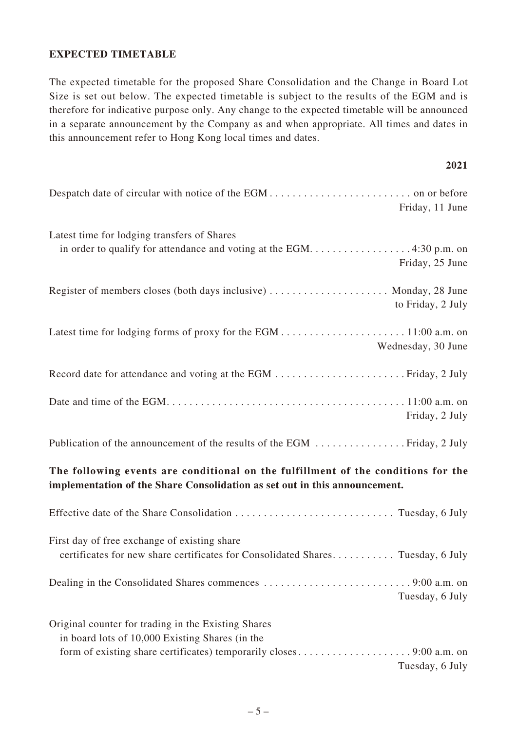#### **EXPECTED TIMETABLE**

The expected timetable for the proposed Share Consolidation and the Change in Board Lot Size is set out below. The expected timetable is subject to the results of the EGM and is therefore for indicative purpose only. Any change to the expected timetable will be announced in a separate announcement by the Company as and when appropriate. All times and dates in this announcement refer to Hong Kong local times and dates.

| 2021                                                                                                                                                            |  |  |
|-----------------------------------------------------------------------------------------------------------------------------------------------------------------|--|--|
| Friday, 11 June                                                                                                                                                 |  |  |
| Latest time for lodging transfers of Shares<br>in order to qualify for attendance and voting at the EGM4:30 p.m. on<br>Friday, 25 June                          |  |  |
| Register of members closes (both days inclusive)  Monday, 28 June<br>to Friday, 2 July                                                                          |  |  |
| Wednesday, 30 June                                                                                                                                              |  |  |
|                                                                                                                                                                 |  |  |
| Friday, 2 July                                                                                                                                                  |  |  |
|                                                                                                                                                                 |  |  |
| The following events are conditional on the fulfillment of the conditions for the<br>implementation of the Share Consolidation as set out in this announcement. |  |  |
|                                                                                                                                                                 |  |  |
| First day of free exchange of existing share<br>certificates for new share certificates for Consolidated Shares Tuesday, 6 July                                 |  |  |
| Tuesday, 6 July                                                                                                                                                 |  |  |
| Original counter for trading in the Existing Shares<br>in board lots of 10,000 Existing Shares (in the                                                          |  |  |
| Tuesday, 6 July                                                                                                                                                 |  |  |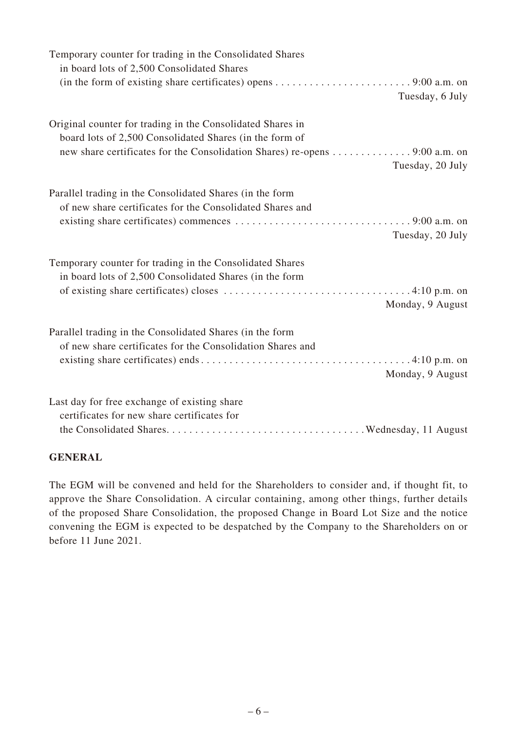| Temporary counter for trading in the Consolidated Shares<br>in board lots of 2,500 Consolidated Shares<br>(in the form of existing share certificates) opens $\dots \dots \dots \dots \dots \dots \dots \dots \dots$ 9:00 a.m. on                                          |
|----------------------------------------------------------------------------------------------------------------------------------------------------------------------------------------------------------------------------------------------------------------------------|
| Tuesday, 6 July                                                                                                                                                                                                                                                            |
| Original counter for trading in the Consolidated Shares in<br>board lots of 2,500 Consolidated Shares (in the form of<br>new share certificates for the Consolidation Shares) re-opens 9:00 a.m. on<br>Tuesday, 20 July                                                    |
| Parallel trading in the Consolidated Shares (in the form<br>of new share certificates for the Consolidated Shares and<br>existing share certificates) commences $\dots \dots \dots \dots \dots \dots \dots \dots \dots \dots \dots \dots$ 9:00 a.m. on<br>Tuesday, 20 July |
| Temporary counter for trading in the Consolidated Shares<br>in board lots of 2,500 Consolidated Shares (in the form<br>Monday, 9 August                                                                                                                                    |
| Parallel trading in the Consolidated Shares (in the form<br>of new share certificates for the Consolidation Shares and<br>Monday, 9 August                                                                                                                                 |
| Last day for free exchange of existing share<br>certificates for new share certificates for                                                                                                                                                                                |

#### **GENERAL**

The EGM will be convened and held for the Shareholders to consider and, if thought fit, to approve the Share Consolidation. A circular containing, among other things, further details of the proposed Share Consolidation, the proposed Change in Board Lot Size and the notice convening the EGM is expected to be despatched by the Company to the Shareholders on or before 11 June 2021.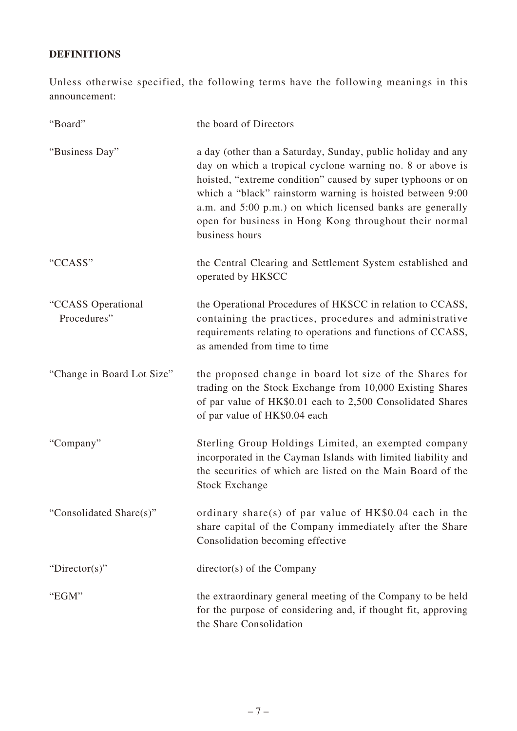# **DEFINITIONS**

Unless otherwise specified, the following terms have the following meanings in this announcement:

| "Board"                           | the board of Directors                                                                                                                                                                                                                                                                                                                                                                         |
|-----------------------------------|------------------------------------------------------------------------------------------------------------------------------------------------------------------------------------------------------------------------------------------------------------------------------------------------------------------------------------------------------------------------------------------------|
| "Business Day"                    | a day (other than a Saturday, Sunday, public holiday and any<br>day on which a tropical cyclone warning no. 8 or above is<br>hoisted, "extreme condition" caused by super typhoons or on<br>which a "black" rainstorm warning is hoisted between 9:00<br>a.m. and 5:00 p.m.) on which licensed banks are generally<br>open for business in Hong Kong throughout their normal<br>business hours |
| "CCASS"                           | the Central Clearing and Settlement System established and<br>operated by HKSCC                                                                                                                                                                                                                                                                                                                |
| "CCASS Operational<br>Procedures" | the Operational Procedures of HKSCC in relation to CCASS,<br>containing the practices, procedures and administrative<br>requirements relating to operations and functions of CCASS,<br>as amended from time to time                                                                                                                                                                            |
| "Change in Board Lot Size"        | the proposed change in board lot size of the Shares for<br>trading on the Stock Exchange from 10,000 Existing Shares<br>of par value of HK\$0.01 each to 2,500 Consolidated Shares<br>of par value of HK\$0.04 each                                                                                                                                                                            |
| "Company"                         | Sterling Group Holdings Limited, an exempted company<br>incorporated in the Cayman Islands with limited liability and<br>the securities of which are listed on the Main Board of the<br><b>Stock Exchange</b>                                                                                                                                                                                  |
| "Consolidated Share(s)"           | ordinary share(s) of par value of $HK$0.04$ each in the<br>share capital of the Company immediately after the Share<br>Consolidation becoming effective                                                                                                                                                                                                                                        |
| "Director(s)"                     | $directory(s)$ of the Company                                                                                                                                                                                                                                                                                                                                                                  |
| "EGM"                             | the extraordinary general meeting of the Company to be held<br>for the purpose of considering and, if thought fit, approving<br>the Share Consolidation                                                                                                                                                                                                                                        |